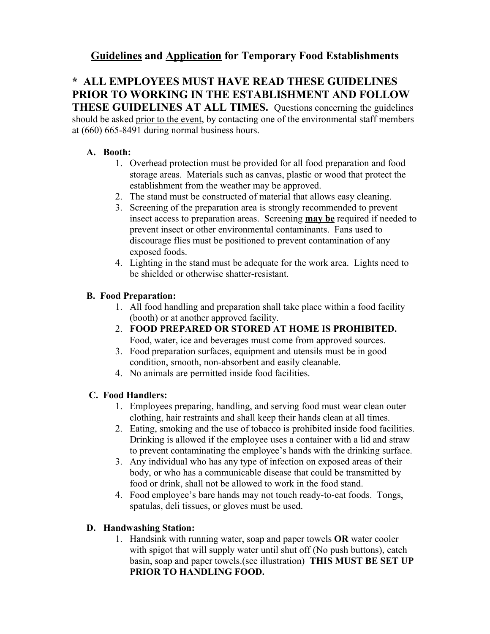## **Guidelines and Application for Temporary Food Establishments**

# **\* ALL EMPLOYEES MUST HAVE READ THESE GUIDELINES PRIOR TO WORKING IN THE ESTABLISHMENT AND FOLLOW**

**THESE GUIDELINES AT ALL TIMES.** Questions concerning the guidelines should be asked prior to the event, by contacting one of the environmental staff members at (660) 665-8491 during normal business hours.

#### **A. Booth:**

- 1. Overhead protection must be provided for all food preparation and food storage areas. Materials such as canvas, plastic or wood that protect the establishment from the weather may be approved.
- 2. The stand must be constructed of material that allows easy cleaning.
- 3. Screening of the preparation area is strongly recommended to prevent insect access to preparation areas. Screening **may be** required if needed to prevent insect or other environmental contaminants. Fans used to discourage flies must be positioned to prevent contamination of any exposed foods.
- 4. Lighting in the stand must be adequate for the work area. Lights need to be shielded or otherwise shatter-resistant.

#### **B. Food Preparation:**

- 1. All food handling and preparation shall take place within a food facility (booth) or at another approved facility.
- 2. **FOOD PREPARED OR STORED AT HOME IS PROHIBITED.** Food, water, ice and beverages must come from approved sources.
- 3. Food preparation surfaces, equipment and utensils must be in good condition, smooth, non-absorbent and easily cleanable.
- 4. No animals are permitted inside food facilities.

#### **C. Food Handlers:**

- 1. Employees preparing, handling, and serving food must wear clean outer clothing, hair restraints and shall keep their hands clean at all times.
- 2. Eating, smoking and the use of tobacco is prohibited inside food facilities. Drinking is allowed if the employee uses a container with a lid and straw to prevent contaminating the employee's hands with the drinking surface.
- 3. Any individual who has any type of infection on exposed areas of their body, or who has a communicable disease that could be transmitted by food or drink, shall not be allowed to work in the food stand.
- 4. Food employee's bare hands may not touch ready-to-eat foods. Tongs, spatulas, deli tissues, or gloves must be used.

#### **D. Handwashing Station:**

1. Handsink with running water, soap and paper towels **OR** water cooler with spigot that will supply water until shut off (No push buttons), catch basin, soap and paper towels.(see illustration) **THIS MUST BE SET UP PRIOR TO HANDLING FOOD.**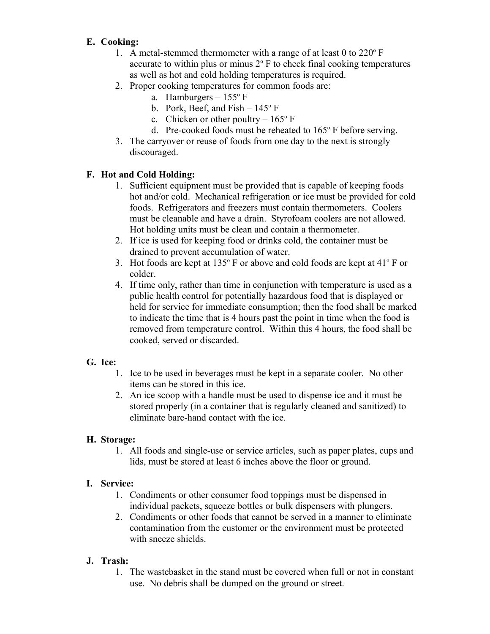## **E. Cooking:**

- 1. A metal-stemmed thermometer with a range of at least 0 to  $220^{\circ}$  F accurate to within plus or minus  $2^{\circ}$  F to check final cooking temperatures as well as hot and cold holding temperatures is required.
- 2. Proper cooking temperatures for common foods are:
	- a. Hamburgers  $-155^\circ$  F
	- b. Pork, Beef, and  $Fish 145^\circ F$
	- c. Chicken or other poultry  $-165^{\circ}$  F
	- d. Pre-cooked foods must be reheated to 165° F before serving.
- 3. The carryover or reuse of foods from one day to the next is strongly discouraged.

## **F. Hot and Cold Holding:**

- 1. Sufficient equipment must be provided that is capable of keeping foods hot and/or cold. Mechanical refrigeration or ice must be provided for cold foods. Refrigerators and freezers must contain thermometers. Coolers must be cleanable and have a drain. Styrofoam coolers are not allowed. Hot holding units must be clean and contain a thermometer.
- 2. If ice is used for keeping food or drinks cold, the container must be drained to prevent accumulation of water.
- 3. Hot foods are kept at  $135^{\circ}$  F or above and cold foods are kept at  $41^{\circ}$  F or colder.
- 4. If time only, rather than time in conjunction with temperature is used as a public health control for potentially hazardous food that is displayed or held for service for immediate consumption; then the food shall be marked to indicate the time that is 4 hours past the point in time when the food is removed from temperature control. Within this 4 hours, the food shall be cooked, served or discarded.

### **G. Ice:**

- 1. Ice to be used in beverages must be kept in a separate cooler. No other items can be stored in this ice.
- 2. An ice scoop with a handle must be used to dispense ice and it must be stored properly (in a container that is regularly cleaned and sanitized) to eliminate bare-hand contact with the ice.

## **H. Storage:**

1. All foods and single-use or service articles, such as paper plates, cups and lids, must be stored at least 6 inches above the floor or ground.

## **I. Service:**

- 1. Condiments or other consumer food toppings must be dispensed in individual packets, squeeze bottles or bulk dispensers with plungers.
- 2. Condiments or other foods that cannot be served in a manner to eliminate contamination from the customer or the environment must be protected with sneeze shields.

## **J. Trash:**

1. The wastebasket in the stand must be covered when full or not in constant use. No debris shall be dumped on the ground or street.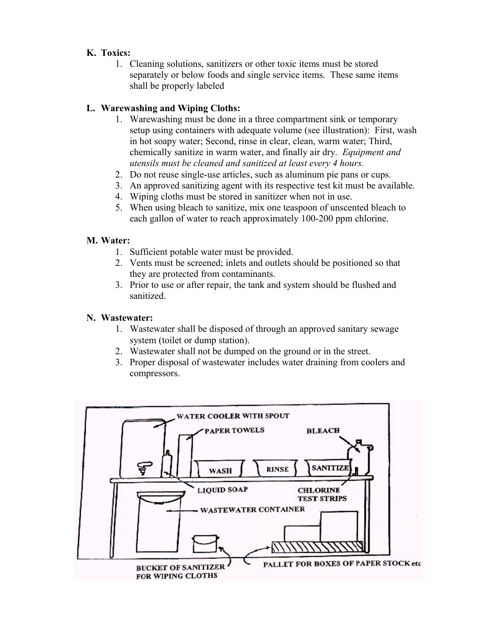## **K. Toxics:**

1. Cleaning solutions, sanitizers or other toxic items must be stored separately or below foods and single service items. These same items shall be properly labeled

### **L. Warewashing and Wiping Cloths:**

- 1. Warewashing must be done in a three compartment sink or temporary setup using containers with adequate volume (see illustration): First, wash in hot soapy water; Second, rinse in clear, clean, warm water; Third, chemically sanitize in warm water, and finally air dry. *Equipment and utensils must be cleaned and sanitized at least every 4 hours.*
- 2. Do not reuse single-use articles, such as aluminum pie pans or cups.
- 3. An approved sanitizing agent with its respective test kit must be available.
- 4. Wiping cloths must be stored in sanitizer when not in use.
- 5. When using bleach to sanitize, mix one teaspoon of unscented bleach to each gallon of water to reach approximately 100-200 ppm chlorine.

#### **M. Water:**

- 1. Sufficient potable water must be provided.
- 2. Vents must be screened; inlets and outlets should be positioned so that they are protected from contaminants.
- 3. Prior to use or after repair, the tank and system should be flushed and sanitized.

#### **N. Wastewater:**

- 1. Wastewater shall be disposed of through an approved sanitary sewage system (toilet or dump station).
- 2. Wastewater shall not be dumped on the ground or in the street.
- 3. Proper disposal of wastewater includes water draining from coolers and compressors.